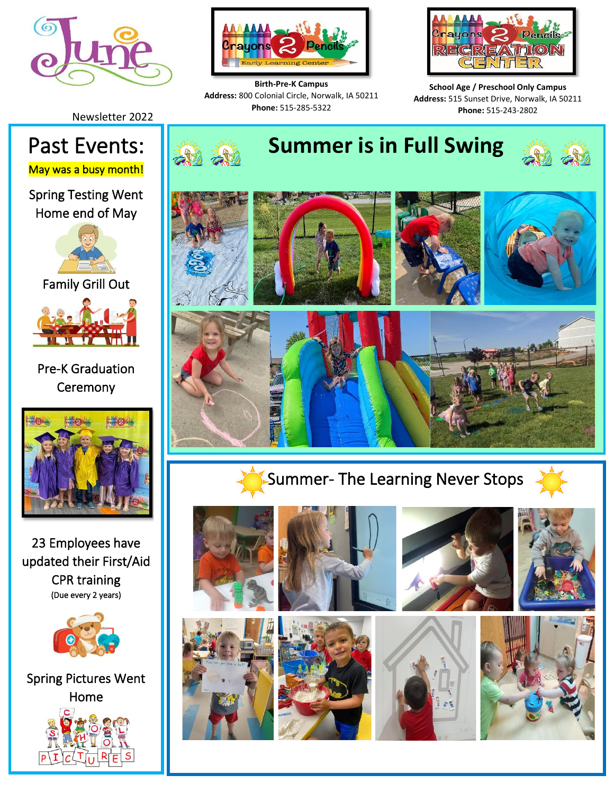



**Birth-Pre-K Campus Address:** 800 Colonial Circle, Norwalk, IA 50211 **Phone:** 515-285-5322



**School Age / Preschool Only Campus Address:** 515 Sunset Drive, Norwalk, IA 50211 **Phone:** 515-243-2802

Newsletter 2022

May was a busy month!

Spring Testing Went Home end of May



Family Grill Out



Pre-K Graduation **Ceremony** 



23 Employees have updated their First/Aid CPR training (Due every 2 years)



Spring Pictures Went Home



I

# Past Events: **I Alle Alle Summer is in Full Swing**











Summer- The Learning Never Stops

i<br>I